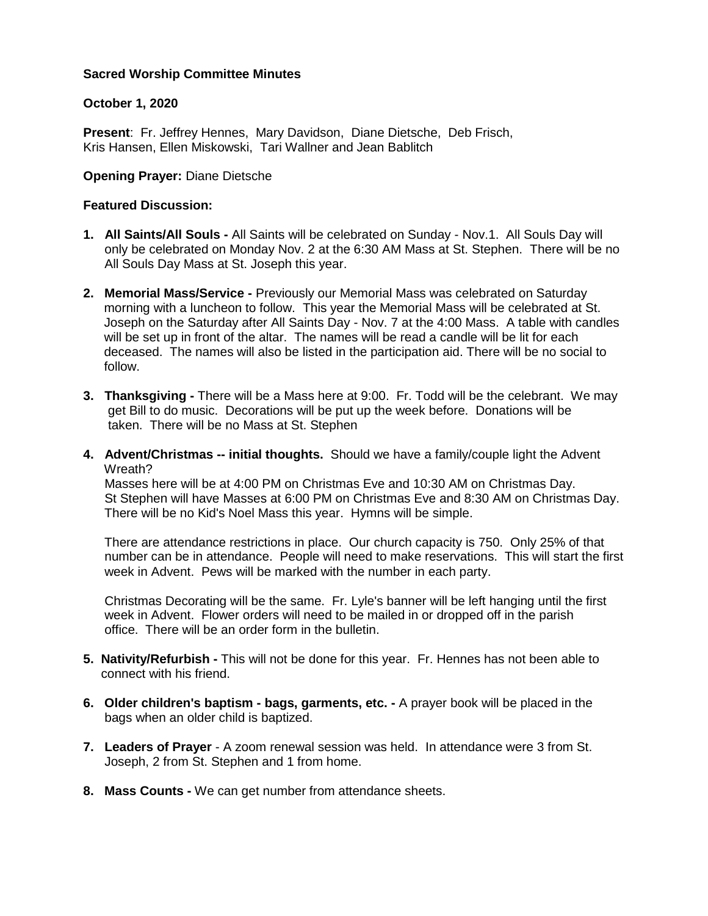# **Sacred Worship Committee Minutes**

## **October 1, 2020**

**Present**: Fr. Jeffrey Hennes, Mary Davidson, Diane Dietsche, Deb Frisch, Kris Hansen, Ellen Miskowski, Tari Wallner and Jean Bablitch

## **Opening Prayer:** Diane Dietsche

#### **Featured Discussion:**

- **1. All Saints/All Souls -** All Saints will be celebrated on Sunday Nov.1. All Souls Day will only be celebrated on Monday Nov. 2 at the 6:30 AM Mass at St. Stephen. There will be no All Souls Day Mass at St. Joseph this year.
- **2. Memorial Mass/Service -** Previously our Memorial Mass was celebrated on Saturday morning with a luncheon to follow. This year the Memorial Mass will be celebrated at St. Joseph on the Saturday after All Saints Day - Nov. 7 at the 4:00 Mass. A table with candles will be set up in front of the altar. The names will be read a candle will be lit for each deceased. The names will also be listed in the participation aid. There will be no social to follow.
- **3. Thanksgiving -** There will be a Mass here at 9:00. Fr. Todd will be the celebrant. We may get Bill to do music. Decorations will be put up the week before. Donations will be taken. There will be no Mass at St. Stephen
- **4. Advent/Christmas -- initial thoughts.** Should we have a family/couple light the Advent Wreath?

 Masses here will be at 4:00 PM on Christmas Eve and 10:30 AM on Christmas Day. St Stephen will have Masses at 6:00 PM on Christmas Eve and 8:30 AM on Christmas Day. There will be no Kid's Noel Mass this year. Hymns will be simple.

 There are attendance restrictions in place. Our church capacity is 750. Only 25% of that number can be in attendance. People will need to make reservations. This will start the first week in Advent. Pews will be marked with the number in each party.

 Christmas Decorating will be the same. Fr. Lyle's banner will be left hanging until the first week in Advent. Flower orders will need to be mailed in or dropped off in the parish office. There will be an order form in the bulletin.

- **5. Nativity/Refurbish -** This will not be done for this year. Fr. Hennes has not been able to connect with his friend.
- **6. Older children's baptism - bags, garments, etc. -** A prayer book will be placed in the bags when an older child is baptized.
- **7. Leaders of Prayer** A zoom renewal session was held. In attendance were 3 from St. Joseph, 2 from St. Stephen and 1 from home.
- **8. Mass Counts -** We can get number from attendance sheets.